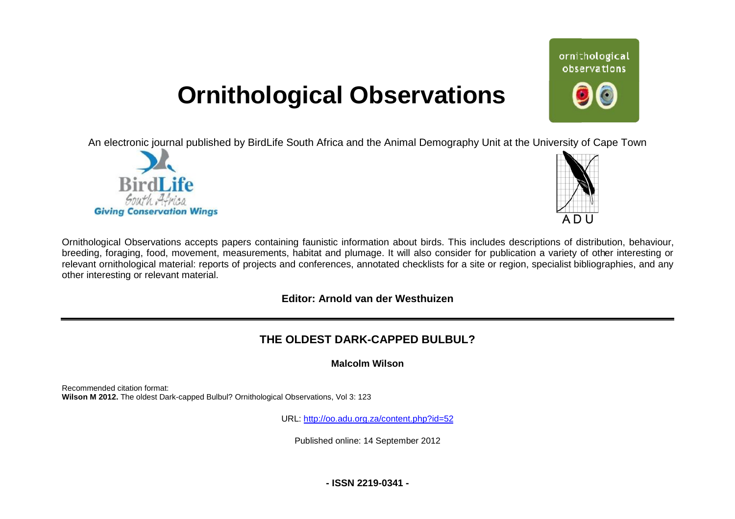# **Ornithological Observations**

An electronic journal published by BirdLife South Africa and the Animal Demography Unit at the University of Cape Town





Ornithological Observations accepts papers containing faunistic information about birds. This includes descriptions of distribution, behaviour, breeding, foraging, food, movement, measurements, habitat and plumage. It will also consider for publication a variety of other interesting or relevant ornithological material: reports of projects and conferences, annotated checklists for a site or region, specialist bibliographies, and any other interesting or relevant material.

### **Editor: Arnold van der Westhuizen**

## **THE OLDEST DARK HE DARK-CAPPED BULBUL?**

#### **Malcolm Wilson**

Recommended citation format: Wilson M 2012. The oldest Dark-capped Bulbul? Ornithological Observations, Vol 3: 123

URL: <http://oo.adu.org.za/content.php?id=52>

Published online: 14 September 2012